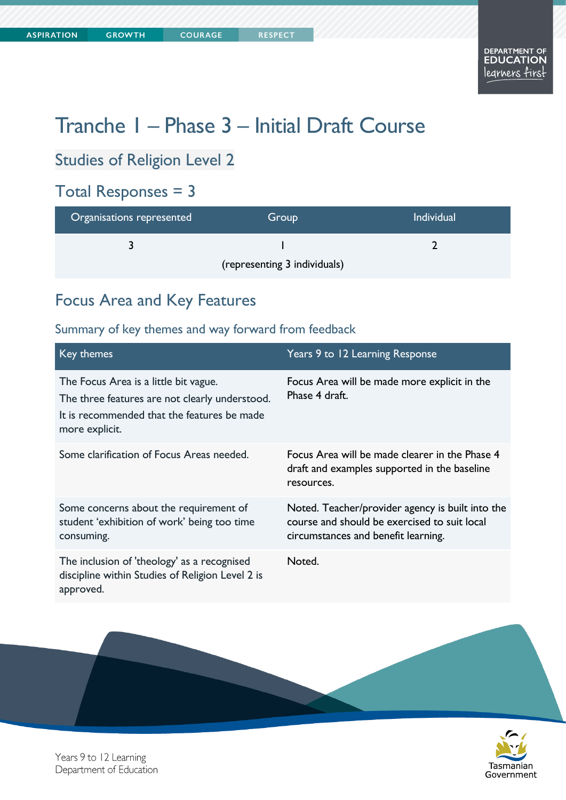Tasmanian

Government

# Tranche 1 – Phase 3 – Initial Draft Course

## Studies of Religion Level 2

## Total Responses = 3

| Organisations represented    | Group | <b>Individual</b> |
|------------------------------|-------|-------------------|
|                              |       |                   |
| (representing 3 individuals) |       |                   |

## Focus Area and Key Features

| Key themes                                                                                                                                               | Years 9 to 12 Learning Response                                                                                                         |
|----------------------------------------------------------------------------------------------------------------------------------------------------------|-----------------------------------------------------------------------------------------------------------------------------------------|
| The Focus Area is a little bit vague.<br>The three features are not clearly understood.<br>It is recommended that the features be made<br>more explicit. | Focus Area will be made more explicit in the<br>Phase 4 draft.                                                                          |
| Some clarification of Focus Areas needed.                                                                                                                | Focus Area will be made clearer in the Phase 4<br>draft and examples supported in the baseline<br>resources.                            |
| Some concerns about the requirement of<br>student 'exhibition of work' being too time<br>consuming.                                                      | Noted. Teacher/provider agency is built into the<br>course and should be exercised to suit local<br>circumstances and benefit learning. |
| The inclusion of 'theology' as a recognised<br>discipline within Studies of Religion Level 2 is<br>approved.                                             | Noted.                                                                                                                                  |



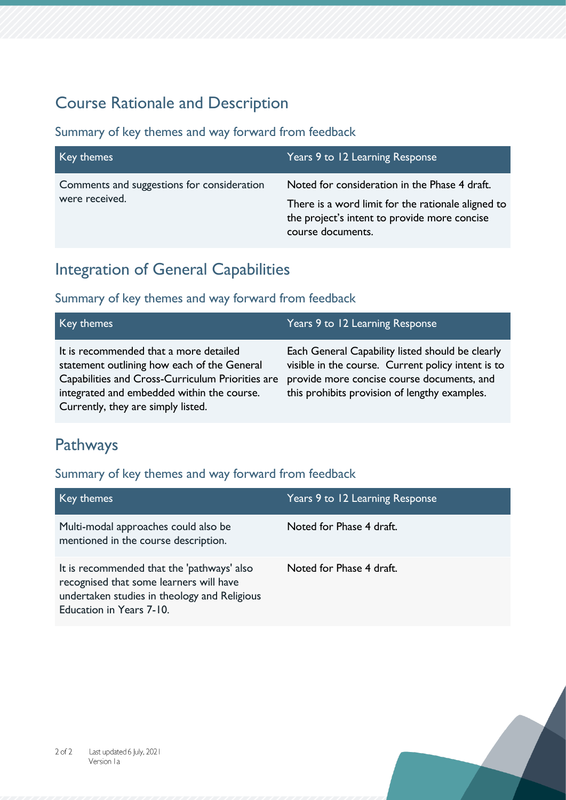## Course Rationale and Description

#### Summary of key themes and way forward from feedback

| Key themes                                                   | Years 9 to 12 Learning Response                                                                                                                                          |
|--------------------------------------------------------------|--------------------------------------------------------------------------------------------------------------------------------------------------------------------------|
| Comments and suggestions for consideration<br>were received. | Noted for consideration in the Phase 4 draft.<br>There is a word limit for the rationale aligned to<br>the project's intent to provide more concise<br>course documents. |

## Integration of General Capabilities

### Summary of key themes and way forward from feedback

| Key themes                                                                                                                                                                                                                    | Years 9 to 12 Learning Response                                                                                                                                                                       |
|-------------------------------------------------------------------------------------------------------------------------------------------------------------------------------------------------------------------------------|-------------------------------------------------------------------------------------------------------------------------------------------------------------------------------------------------------|
| It is recommended that a more detailed<br>statement outlining how each of the General<br>Capabilities and Cross-Curriculum Priorities are<br>integrated and embedded within the course.<br>Currently, they are simply listed. | Each General Capability listed should be clearly<br>visible in the course. Current policy intent is to<br>provide more concise course documents, and<br>this prohibits provision of lengthy examples. |

## Pathways

| Key themes                                                                                                                                                        | Years 9 to 12 Learning Response |
|-------------------------------------------------------------------------------------------------------------------------------------------------------------------|---------------------------------|
| Multi-modal approaches could also be<br>mentioned in the course description.                                                                                      | Noted for Phase 4 draft.        |
| It is recommended that the 'pathways' also<br>recognised that some learners will have<br>undertaken studies in theology and Religious<br>Education in Years 7-10. | Noted for Phase 4 draft.        |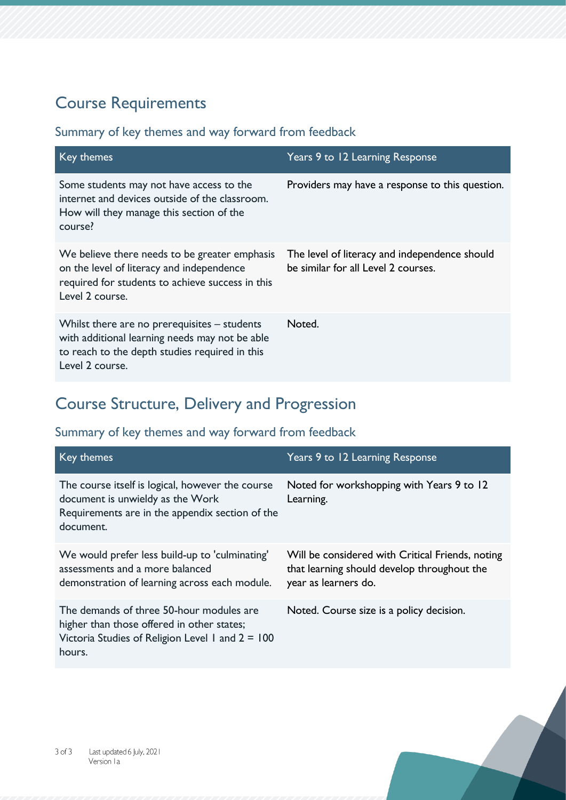## Course Requirements

### Summary of key themes and way forward from feedback

| Key themes                                                                                                                                                            | Years 9 to 12 Learning Response                                                      |
|-----------------------------------------------------------------------------------------------------------------------------------------------------------------------|--------------------------------------------------------------------------------------|
| Some students may not have access to the<br>internet and devices outside of the classroom.<br>How will they manage this section of the<br>course?                     | Providers may have a response to this question.                                      |
| We believe there needs to be greater emphasis<br>on the level of literacy and independence<br>required for students to achieve success in this<br>Level 2 course.     | The level of literacy and independence should<br>be similar for all Level 2 courses. |
| Whilst there are no prerequisites $-$ students<br>with additional learning needs may not be able<br>to reach to the depth studies required in this<br>Level 2 course. | Noted.                                                                               |

## Course Structure, Delivery and Progression

| Key themes                                                                                                                                             | Years 9 to 12 Learning Response                                                                                         |
|--------------------------------------------------------------------------------------------------------------------------------------------------------|-------------------------------------------------------------------------------------------------------------------------|
| The course itself is logical, however the course<br>document is unwieldy as the Work<br>Requirements are in the appendix section of the<br>document.   | Noted for workshopping with Years 9 to 12<br>Learning.                                                                  |
| We would prefer less build-up to 'culminating'<br>assessments and a more balanced<br>demonstration of learning across each module.                     | Will be considered with Critical Friends, noting<br>that learning should develop throughout the<br>year as learners do. |
| The demands of three 50-hour modules are<br>higher than those offered in other states;<br>Victoria Studies of Religion Level 1 and $2 = 100$<br>hours. | Noted. Course size is a policy decision.                                                                                |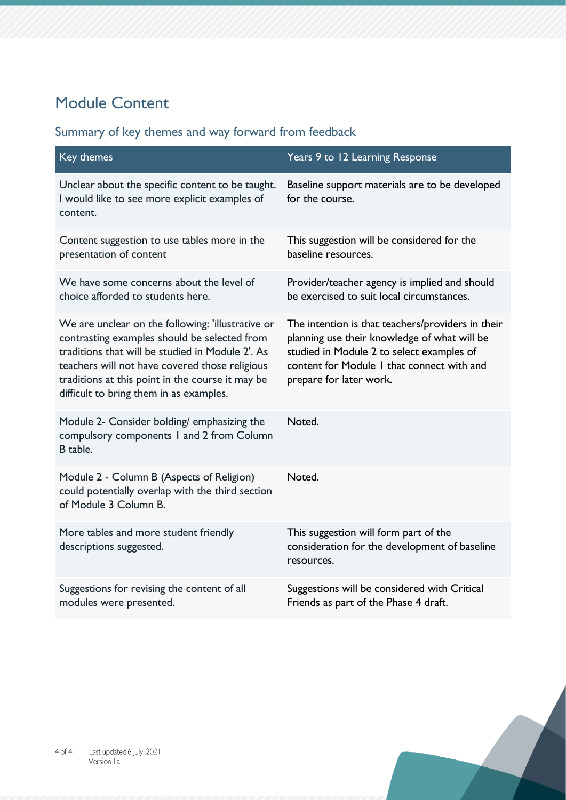## Module Content

| Key themes                                                                                                                                                                                                                                                                                             | Years 9 to 12 Learning Response                                                                                                                                                                                         |
|--------------------------------------------------------------------------------------------------------------------------------------------------------------------------------------------------------------------------------------------------------------------------------------------------------|-------------------------------------------------------------------------------------------------------------------------------------------------------------------------------------------------------------------------|
| Unclear about the specific content to be taught.<br>I would like to see more explicit examples of<br>content.                                                                                                                                                                                          | Baseline support materials are to be developed<br>for the course.                                                                                                                                                       |
| Content suggestion to use tables more in the<br>presentation of content                                                                                                                                                                                                                                | This suggestion will be considered for the<br>baseline resources.                                                                                                                                                       |
| We have some concerns about the level of<br>choice afforded to students here.                                                                                                                                                                                                                          | Provider/teacher agency is implied and should<br>be exercised to suit local circumstances.                                                                                                                              |
| We are unclear on the following: 'illustrative or<br>contrasting examples should be selected from<br>traditions that will be studied in Module 2'. As<br>teachers will not have covered those religious<br>traditions at this point in the course it may be<br>difficult to bring them in as examples. | The intention is that teachers/providers in their<br>planning use their knowledge of what will be<br>studied in Module 2 to select examples of<br>content for Module 1 that connect with and<br>prepare for later work. |
| Module 2- Consider bolding/ emphasizing the<br>compulsory components 1 and 2 from Column<br>B table.                                                                                                                                                                                                   | Noted.                                                                                                                                                                                                                  |
| Module 2 - Column B (Aspects of Religion)<br>could potentially overlap with the third section<br>of Module 3 Column B.                                                                                                                                                                                 | Noted.                                                                                                                                                                                                                  |
| More tables and more student friendly<br>descriptions suggested.                                                                                                                                                                                                                                       | This suggestion will form part of the<br>consideration for the development of baseline<br>resources.                                                                                                                    |
| Suggestions for revising the content of all<br>modules were presented.                                                                                                                                                                                                                                 | Suggestions will be considered with Critical<br>Friends as part of the Phase 4 draft.                                                                                                                                   |

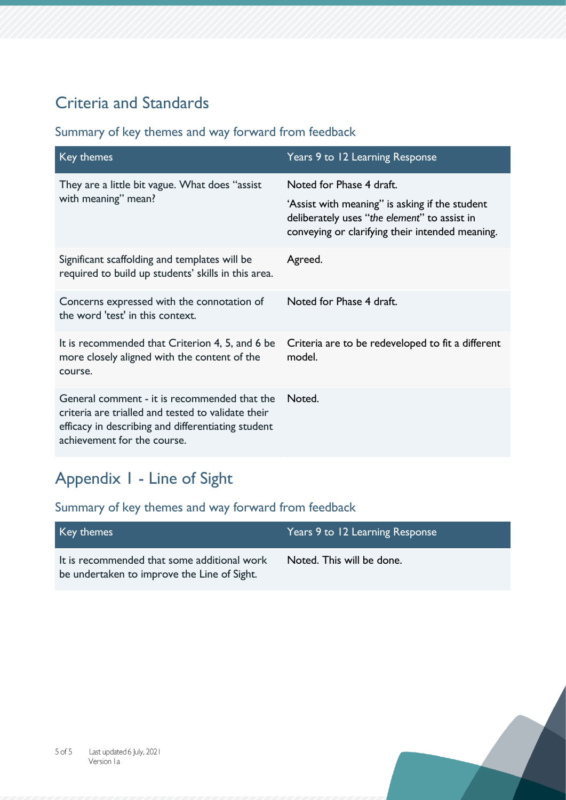## Criteria and Standards

### Summary of key themes and way forward from feedback

| Key themes                                                                                                                                                                              | Years 9 to 12 Learning Response                                                                                                                    |
|-----------------------------------------------------------------------------------------------------------------------------------------------------------------------------------------|----------------------------------------------------------------------------------------------------------------------------------------------------|
| They are a little bit vague. What does "assist"<br>with meaning" mean?                                                                                                                  | Noted for Phase 4 draft.                                                                                                                           |
|                                                                                                                                                                                         | 'Assist with meaning'' is asking if the student<br>deliberately uses "the element" to assist in<br>conveying or clarifying their intended meaning. |
| Significant scaffolding and templates will be<br>required to build up students' skills in this area.                                                                                    | Agreed.                                                                                                                                            |
| Concerns expressed with the connotation of<br>the word 'test' in this context.                                                                                                          | Noted for Phase 4 draft.                                                                                                                           |
| It is recommended that Criterion 4, 5, and 6 be<br>more closely aligned with the content of the<br>course.                                                                              | Criteria are to be redeveloped to fit a different<br>model.                                                                                        |
| General comment - it is recommended that the<br>criteria are trialled and tested to validate their<br>efficacy in describing and differentiating student<br>achievement for the course. | Noted.                                                                                                                                             |

## Appendix 1 - Line of Sight

| Key themes                                                                                 | Years 9 to 12 Learning Response |
|--------------------------------------------------------------------------------------------|---------------------------------|
| It is recommended that some additional work<br>be undertaken to improve the Line of Sight. | Noted. This will be done.       |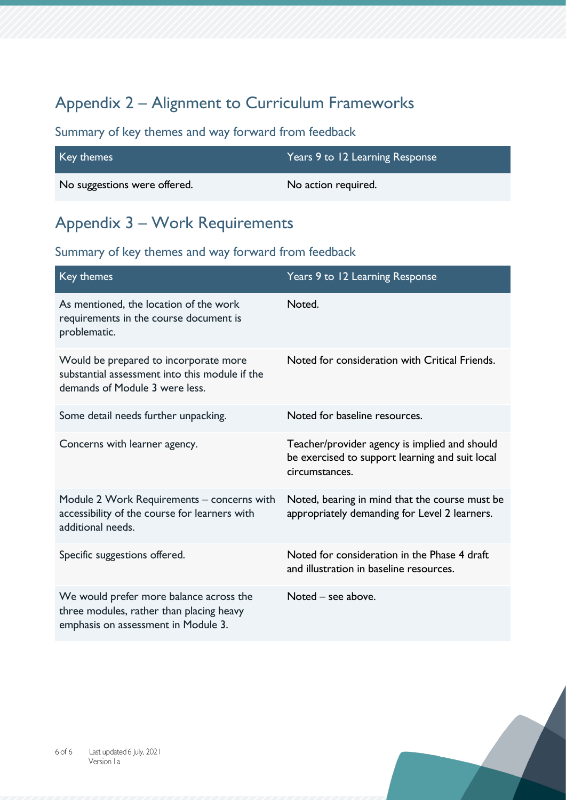## Appendix 2 – Alignment to Curriculum Frameworks

### Summary of key themes and way forward from feedback

| Key themes                   | Years 9 to 12 Learning Response |
|------------------------------|---------------------------------|
| No suggestions were offered. | No action required.             |

### Appendix 3 – Work Requirements

| Key themes                                                                                                                 | Years 9 to 12 Learning Response                                                                                    |
|----------------------------------------------------------------------------------------------------------------------------|--------------------------------------------------------------------------------------------------------------------|
| As mentioned, the location of the work<br>requirements in the course document is<br>problematic.                           | Noted.                                                                                                             |
| Would be prepared to incorporate more<br>substantial assessment into this module if the<br>demands of Module 3 were less.  | Noted for consideration with Critical Friends.                                                                     |
| Some detail needs further unpacking.                                                                                       | Noted for baseline resources.                                                                                      |
| Concerns with learner agency.                                                                                              | Teacher/provider agency is implied and should<br>be exercised to support learning and suit local<br>circumstances. |
| Module 2 Work Requirements - concerns with<br>accessibility of the course for learners with<br>additional needs.           | Noted, bearing in mind that the course must be<br>appropriately demanding for Level 2 learners.                    |
| Specific suggestions offered.                                                                                              | Noted for consideration in the Phase 4 draft<br>and illustration in baseline resources.                            |
| We would prefer more balance across the<br>three modules, rather than placing heavy<br>emphasis on assessment in Module 3. | Noted – see above.                                                                                                 |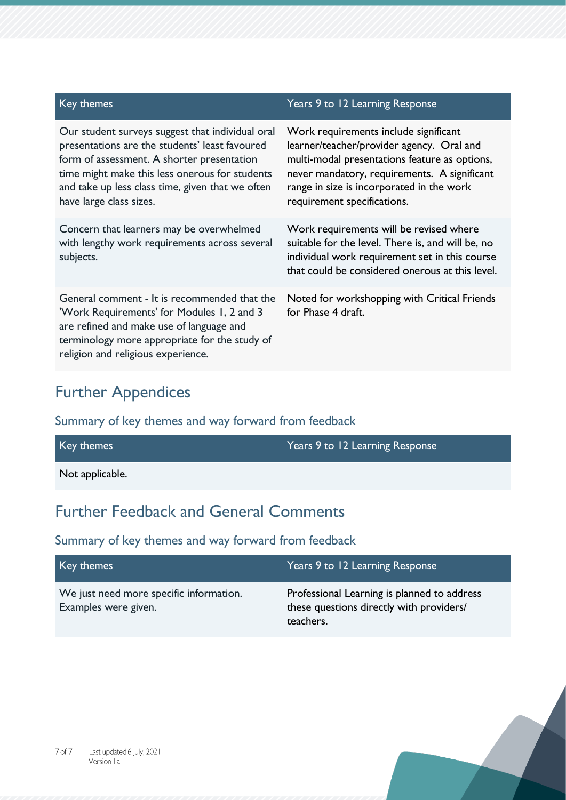| Key themes                                                                                                                                                                                                                                                                        | Years 9 to 12 Learning Response                                                                                                                                                                                                                                 |
|-----------------------------------------------------------------------------------------------------------------------------------------------------------------------------------------------------------------------------------------------------------------------------------|-----------------------------------------------------------------------------------------------------------------------------------------------------------------------------------------------------------------------------------------------------------------|
| Our student surveys suggest that individual oral<br>presentations are the students' least favoured<br>form of assessment. A shorter presentation<br>time might make this less onerous for students<br>and take up less class time, given that we often<br>have large class sizes. | Work requirements include significant<br>learner/teacher/provider agency. Oral and<br>multi-modal presentations feature as options,<br>never mandatory, requirements. A significant<br>range in size is incorporated in the work<br>requirement specifications. |
| Concern that learners may be overwhelmed<br>with lengthy work requirements across several<br>subjects.                                                                                                                                                                            | Work requirements will be revised where<br>suitable for the level. There is, and will be, no<br>individual work requirement set in this course<br>that could be considered onerous at this level.                                                               |
| General comment - It is recommended that the<br>'Work Requirements' for Modules 1, 2 and 3<br>are refined and make use of language and<br>terminology more appropriate for the study of<br>religion and religious experience.                                                     | Noted for workshopping with Critical Friends<br>for Phase 4 draft.                                                                                                                                                                                              |

## Further Appendices

### Summary of key themes and way forward from feedback

| Key themes      | Years 9 to 12 Learning Response |
|-----------------|---------------------------------|
| Not applicable. |                                 |

## Further Feedback and General Comments

| Key themes                                                      | Years 9 to 12 Learning Response                                                                      |
|-----------------------------------------------------------------|------------------------------------------------------------------------------------------------------|
| We just need more specific information.<br>Examples were given. | Professional Learning is planned to address<br>these questions directly with providers/<br>teachers. |